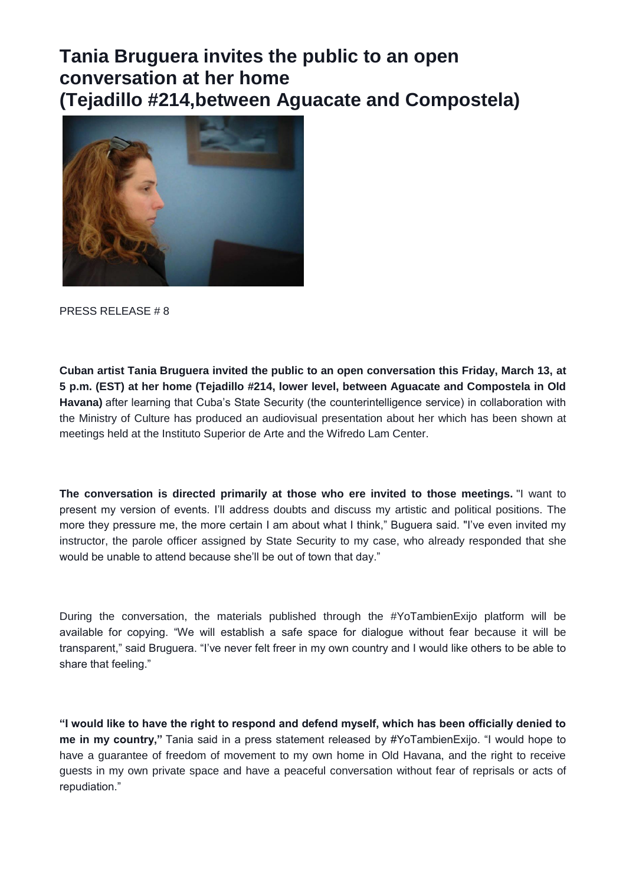## **Tania Bruguera invites the public to an open conversation at her home (Tejadillo #214,between Aguacate and Compostela)**



PRESS RELEASE # 8

**Cuban artist Tania Bruguera invited the public to an open conversation this Friday, March 13, at 5 p.m. (EST) at her home (Tejadillo #214, lower level, between Aguacate and Compostela in Old Havana)** after learning that Cuba's State Security (the counterintelligence service) in collaboration with the Ministry of Culture has produced an audiovisual presentation about her which has been shown at meetings held at the Instituto Superior de Arte and the Wifredo Lam Center.

**The conversation is directed primarily at those who ere invited to those meetings.** "I want to present my version of events. I'll address doubts and discuss my artistic and political positions. The more they pressure me, the more certain I am about what I think," Buguera said. "I've even invited my instructor, the parole officer assigned by State Security to my case, who already responded that she would be unable to attend because she'll be out of town that day."

During the conversation, the materials published through the #YoTambienExijo platform will be available for copying. "We will establish a safe space for dialogue without fear because it will be transparent," said Bruguera. "I've never felt freer in my own country and I would like others to be able to share that feeling."

**"I would like to have the right to respond and defend myself, which has been officially denied to me in my country,"** Tania said in a press statement released by #YoTambienExijo. "I would hope to have a guarantee of freedom of movement to my own home in Old Havana, and the right to receive guests in my own private space and have a peaceful conversation without fear of reprisals or acts of repudiation."